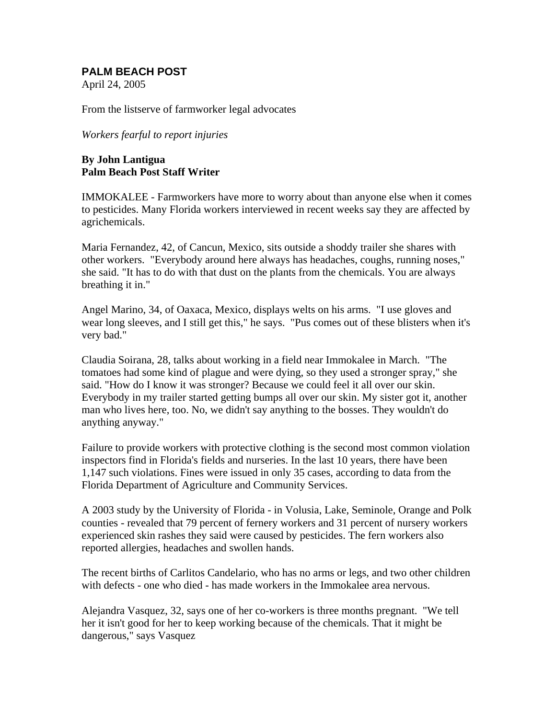## **PALM BEACH POST**

April 24, 2005

From the listserve of farmworker legal advocates

*Workers fearful to report injuries* 

## **By John Lantigua Palm Beach Post Staff Writer**

IMMOKALEE - Farmworkers have more to worry about than anyone else when it comes to pesticides. Many Florida workers interviewed in recent weeks say they are affected by agrichemicals.

Maria Fernandez, 42, of Cancun, Mexico, sits outside a shoddy trailer she shares with other workers. "Everybody around here always has headaches, coughs, running noses," she said. "It has to do with that dust on the plants from the chemicals. You are always breathing it in."

Angel Marino, 34, of Oaxaca, Mexico, displays welts on his arms. "I use gloves and wear long sleeves, and I still get this," he says. "Pus comes out of these blisters when it's very bad."

Claudia Soirana, 28, talks about working in a field near Immokalee in March. "The tomatoes had some kind of plague and were dying, so they used a stronger spray," she said. "How do I know it was stronger? Because we could feel it all over our skin. Everybody in my trailer started getting bumps all over our skin. My sister got it, another man who lives here, too. No, we didn't say anything to the bosses. They wouldn't do anything anyway."

Failure to provide workers with protective clothing is the second most common violation inspectors find in Florida's fields and nurseries. In the last 10 years, there have been 1,147 such violations. Fines were issued in only 35 cases, according to data from the Florida Department of Agriculture and Community Services.

A 2003 study by the University of Florida - in Volusia, Lake, Seminole, Orange and Polk counties - revealed that 79 percent of fernery workers and 31 percent of nursery workers experienced skin rashes they said were caused by pesticides. The fern workers also reported allergies, headaches and swollen hands.

The recent births of Carlitos Candelario, who has no arms or legs, and two other children with defects - one who died - has made workers in the Immokalee area nervous.

Alejandra Vasquez, 32, says one of her co-workers is three months pregnant. "We tell her it isn't good for her to keep working because of the chemicals. That it might be dangerous," says Vasquez